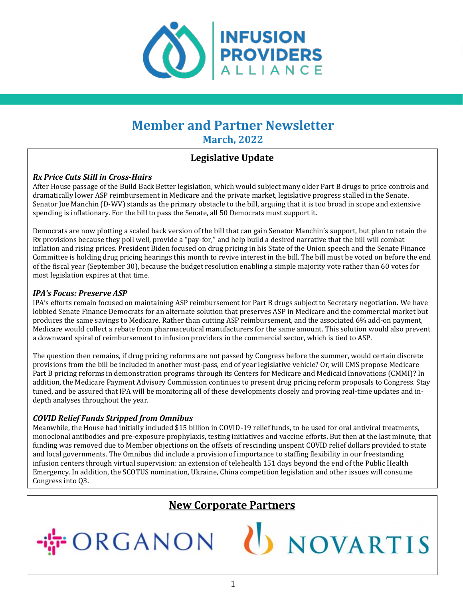

# **Member and Partner Newsletter March, 2022**

# **Legislative Update**

## *Rx Price Cuts Still in Cross-Hairs*

After House passage of the Build Back Better legislation, which would subject many older Part B drugs to price controls and dramatically lower ASP reimbursement in Medicare and the private market, legislative progress stalled in the Senate. Senator Joe Manchin (D-WV) stands as the primary obstacle to the bill, arguing that it is too broad in scope and extensive spending is inflationary. For the bill to pass the Senate, all 50 Democrats must support it.

Democrats are now plotting a scaled back version of the bill that can gain Senator Manchin's support, but plan to retain the Rx provisions because they poll well, provide a "pay-for," and help build a desired narrative that the bill will combat inflation and rising prices. President Biden focused on drug pricing in his State of the Union speech and the Senate Finance Committee is holding drug pricing hearings this month to revive interest in the bill. The bill must be voted on before the end of the fiscal year (September 30), because the budget resolution enabling a simple majority vote rather than 60 votes for most legislation expires at that time.

## *IPA's Focus: Preserve ASP*

IPA's efforts remain focused on maintaining ASP reimbursement for Part B drugs subject to Secretary negotiation. We have lobbied Senate Finance Democrats for an alternate solution that preserves ASP in Medicare and the commercial market but produces the same savings to Medicare. Rather than cutting ASP reimbursement, and the associated 6% add-on payment, Medicare would collect a rebate from pharmaceutical manufacturers for the same amount. This solution would also prevent a downward spiral of reimbursement to infusion providers in the commercial sector, which is tied to ASP.

The question then remains, if drug pricing reforms are not passed by Congress before the summer, would certain discrete provisions from the bill be included in another must-pass, end of year legislative vehicle? Or, will CMS propose Medicare Part B pricing reforms in demonstration programs through its Centers for Medicare and Medicaid Innovations (CMMI)? In addition, the Medicare Payment Advisory Commission continues to present drug pricing reform proposals to Congress. Stay tuned, and be assured that IPA will be monitoring all of these developments closely and proving real-time updates and indepth analyses throughout the year.

## *COVID Relief Funds Stripped from Omnibus*

Meanwhile, the House had initially included \$15 billion in COVID-19 relief funds, to be used for oral antiviral treatments, monoclonal antibodies and pre-exposure prophylaxis, testing initiatives and vaccine efforts. But then at the last minute, that funding was removed due to Member objections on the offsets of rescinding unspent COVID relief dollars provided to state and local governments. The Omnibus did include a provision of importance to staffing flexibility in our freestanding infusion centers through virtual supervision: an extension of telehealth 151 days beyond the end of the Public Health Emergency. In addition, the SCOTUS nomination, Ukraine, China competition legislation and other issues will consume Congress into Q3.

# **New Corporate Partners**

**FORGANON** 

NOVARTIS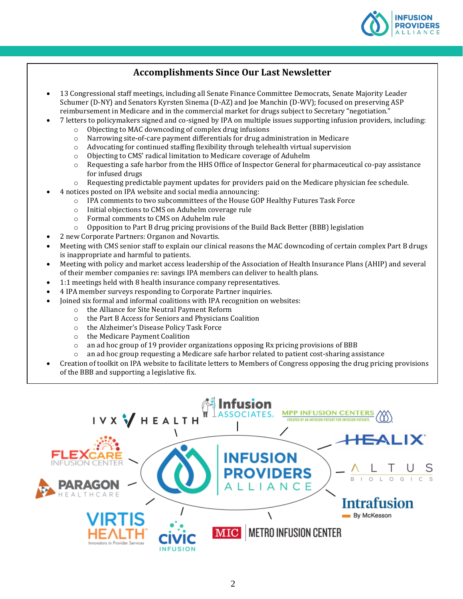

# **Accomplishments Since Our Last Newsletter**

- 13 Congressional staff meetings, including all Senate Finance Committee Democrats, Senate Majority Leader Schumer (D-NY) and Senators Kyrsten Sinema (D-AZ) and Joe Manchin (D-WV); focused on preserving ASP reimbursement in Medicare and in the commercial market for drugs subject to Secretary "negotiation."
	- 7 letters to policymakers signed and co-signed by IPA on multiple issues supporting infusion providers, including:
		- o Objecting to MAC downcoding of complex drug infusions
		- o Narrowing site-of-care payment differentials for drug administration in Medicare
		- $\circ$  Advocating for continued staffing flexibility through telehealth virtual supervision
		- o Objecting to CMS' radical limitation to Medicare coverage of Aduhelm
		- $\circ$  Requesting a safe harbor from the HHS Office of Inspector General for pharmaceutical co-pay assistance for infused drugs
		- o Requesting predictable payment updates for providers paid on the Medicare physician fee schedule.
- 4 notices posted on IPA website and social media announcing:
	- o IPA comments to two subcommittees of the House GOP Healthy Futures Task Force
	- o Initial objections to CMS on Aduhelm coverage rule
	- o Formal comments to CMS on Aduhelm rule
	- o Opposition to Part B drug pricing provisions of the Build Back Better (BBB) legislation
- 2 new Corporate Partners: Organon and Novartis.
- Meeting with CMS senior staff to explain our clinical reasons the MAC downcoding of certain complex Part B drugs is inappropriate and harmful to patients.
- Meeting with policy and market access leadership of the Association of Health Insurance Plans (AHIP) and several of their member companies re: savings IPA members can deliver to health plans.
- 1:1 meetings held with 8 health insurance company representatives.
- 4 IPA member surveys responding to Corporate Partner inquiries.
- Joined six formal and informal coalitions with IPA recognition on websites:
	- o the Alliance for Site Neutral Payment Reform
	- o the Part B Access for Seniors and Physicians Coalition
	- o the Alzheimer's Disease Policy Task Force
	- o the Medicare Payment Coalition
	- $\circ$  an ad hoc group of 19 provider organizations opposing Rx pricing provisions of BBB
	- $\circ$  an ad hoc group requesting a Medicare safe harbor related to patient cost-sharing assistance
- Creation of toolkit on IPA website to facilitate letters to Members of Congress opposing the drug pricing provisions of the BBB and supporting a legislative fix.

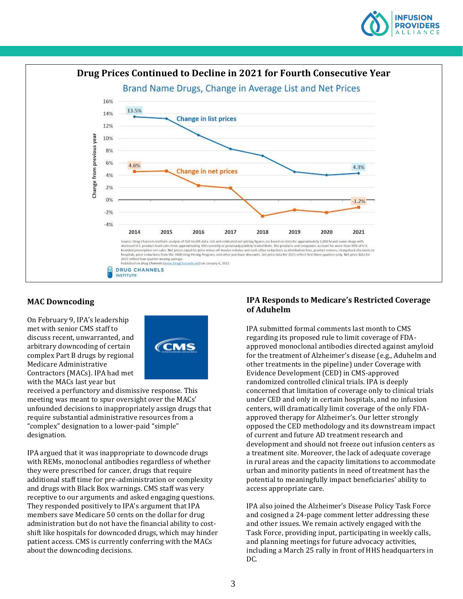



#### **MAC Downcoding**

On February 9, IPA's leadership met with senior CMS staff to discuss recent, unwarranted, and arbitrary downcoding of certain complex Part B drugs by regional Medicare Administrative Contractors (MACs). IPA had met with the MACs last year but



received a perfunctory and dismissive response. This meeting was meant to spur oversight over the MACs' unfounded decisions to inappropriately assign drugs that require substantial administrative resources from a "complex" designation to a lower-paid "simple" designation.

IPA argued that it was inappropriate to downcode drugs with REMs, monoclonal antibodies regardless of whether they were prescribed for cancer, drugs that require additional staff time for pre-administration or complexity and drugs with Black Box warnings. CMS staff was very receptive to our arguments and asked engaging questions. They responded positively to IPA's argument that IPA members save Medicare 50 cents on the dollar for drug administration but do not have the financial ability to costshift like hospitals for downcoded drugs, which may hinder patient access. CMS is currently conferring with the MACs about the downcoding decisions.

#### **IPA Responds to Medicare's Restricted Coverage of Aduhelm**

IPA submitted formal comments last month to CMS regarding its proposed rule to limit coverage of FDAapproved monoclonal antibodies directed against amyloid for the treatment of Alzheimer's disease (e.g., Aduhelm and other treatments in the pipeline) under Coverage with Evidence Development (CED) in CMS-approved randomized controlled clinical trials. IPA is deeply concerned that limitation of coverage only to clinical trials under CED and only in certain hospitals, and no infusion centers, will dramatically limit coverage of the only FDAapproved therapy for Alzheimer's. Our letter strongly opposed the CED methodology and its downstream impact of current and future AD treatment research and development and should not freeze out infusion centers as a treatment site. Moreover, the lack of adequate coverage in rural areas and the capacity limitations to accommodate urban and minority patients in need of treatment has the potential to meaningfully impact beneficiaries' ability to access appropriate care.

IPA also joined the Alzheimer's Disease Policy Task Force and cosigned a 24-page comment letter addressing these and other issues. We remain actively engaged with the Task Force, providing input, participating in weekly calls, and planning meetings for future advocacy activities, including a March 25 rally in front of HHS headquarters in DC.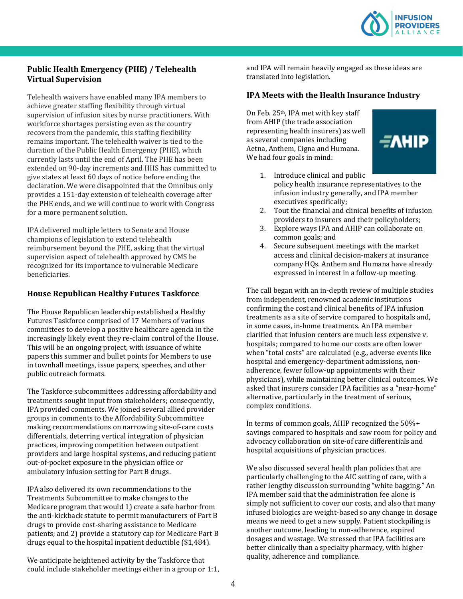

### **Public Health Emergency (PHE) / Telehealth Virtual Supervision**

Telehealth waivers have enabled many IPA members to achieve greater staffing flexibility through virtual supervision of infusion sites by nurse practitioners. With workforce shortages persisting even as the country recovers from the pandemic, this staffing flexibility remains important. The telehealth waiver is tied to the duration of the Public Health Emergency (PHE), which currently lasts until the end of April. The PHE has been extended on 90-day increments and HHS has committed to give states at least 60 days of notice before ending the declaration. We were disappointed that the Omnibus only provides a 151-day extension of telehealth coverage after the PHE ends, and we will continue to work with Congress for a more permanent solution.

IPA delivered multiple letters to Senate and House champions of legislation to extend telehealth reimbursement beyond the PHE, asking that the virtual supervision aspect of telehealth approved by CMS be recognized for its importance to vulnerable Medicare beneficiaries.

#### **House Republican Healthy Futures Taskforce**

The House Republican leadership established a Healthy Futures Taskforce comprised of 17 Members of various committees to develop a positive healthcare agenda in the increasingly likely event they re-claim control of the House. This will be an ongoing project, with issuance of white papers this summer and bullet points for Members to use in townhall meetings, issue papers, speeches, and other public outreach formats.

The Taskforce subcommittees addressing affordability and treatments sought input from stakeholders; consequently, IPA provided comments. We joined several allied provider groups in comments to the Affordability Subcommittee making recommendations on narrowing site-of-care costs differentials, deterring vertical integration of physician practices, improving competition between outpatient providers and large hospital systems, and reducing patient out-of-pocket exposure in the physician office or ambulatory infusion setting for Part B drugs.

IPA also delivered its own recommendations to the Treatments Subcommittee to make changes to the Medicare program that would 1) create a safe harbor from the anti-kickback statute to permit manufacturers of Part B drugs to provide cost-sharing assistance to Medicare patients; and 2) provide a statutory cap for Medicare Part B drugs equal to the hospital inpatient deductible (\$1,484).

We anticipate heightened activity by the Taskforce that could include stakeholder meetings either in a group or 1:1,

and IPA will remain heavily engaged as these ideas are translated into legislation.

#### **IPA Meets with the Health Insurance Industry**

On Feb. 25th, IPA met with key staff from AHIP (the trade association representing health insurers) as well as several companies including Aetna, Anthem, Cigna and Humana. We had four goals in mind:



- 1. Introduce clinical and public policy health insurance representatives to the infusion industry generally, and IPA member executives specifically;
- 2. Tout the financial and clinical benefits of infusion providers to insurers and their policyholders;
- 3. Explore ways IPA and AHIP can collaborate on common goals; and
- 4. Secure subsequent meetings with the market access and clinical decision-makers at insurance company HQs. Anthem and Humana have already expressed in interest in a follow-up meeting.

The call began with an in-depth review of multiple studies from independent, renowned academic institutions confirming the cost and clinical benefits of IPA infusion treatments as a site of service compared to hospitals and, in some cases, in-home treatments. An IPA member clarified that infusion centers are much less expensive v. hospitals; compared to home our costs are often lower when "total costs" are calculated (e.g., adverse events like hospital and emergency-department admissions, nonadherence, fewer follow-up appointments with their physicians), while maintaining better clinical outcomes. We asked that insurers consider IPA facilities as a "near-home" alternative, particularly in the treatment of serious, complex conditions.

In terms of common goals, AHIP recognized the 50%+ savings compared to hospitals and saw room for policy and advocacy collaboration on site-of care differentials and hospital acquisitions of physician practices.

We also discussed several health plan policies that are particularly challenging to the AIC setting of care, with a rather lengthy discussion surrounding "white bagging." An IPA member said that the administration fee alone is simply not sufficient to cover our costs, and also that many infused biologics are weight-based so any change in dosage means we need to get a new supply. Patient stockpiling is another outcome, leading to non-adherence, expired dosages and wastage. We stressed that IPA facilities are better clinically than a specialty pharmacy, with higher quality, adherence and compliance.